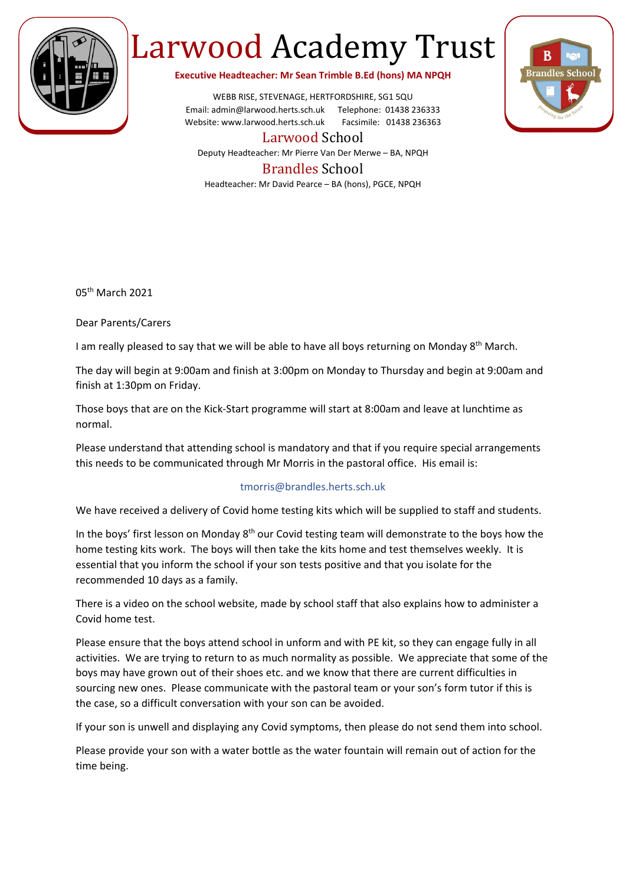

## Larwood Academy Trust

**Executive Headteacher: Mr Sean Trimble B.Ed (hons) MA NPQH**

WEBB RISE, STEVENAGE, HERTFORDSHIRE, SG1 5QU Email: admin@larwood.herts.sch.uk Telephone: 01438 236333 Website: www.larwood.herts.sch.uk Facsimile: 01438 236363



Larwood School Deputy Headteacher: Mr Pierre Van Der Merwe – BA, NPQH

## Brandles School

Headteacher: Mr David Pearce – BA (hons), PGCE, NPQH

05th March 2021

Dear Parents/Carers

I am really pleased to say that we will be able to have all boys returning on Monday 8<sup>th</sup> March.

The day will begin at 9:00am and finish at 3:00pm on Monday to Thursday and begin at 9:00am and finish at 1:30pm on Friday.

Those boys that are on the Kick-Start programme will start at 8:00am and leave at lunchtime as normal.

Please understand that attending school is mandatory and that if you require special arrangements this needs to be communicated through Mr Morris in the pastoral office. His email is:

## tmorris@brandles.herts.sch.uk

We have received a delivery of Covid home testing kits which will be supplied to staff and students.

In the boys' first lesson on Monday 8<sup>th</sup> our Covid testing team will demonstrate to the boys how the home testing kits work. The boys will then take the kits home and test themselves weekly. It is essential that you inform the school if your son tests positive and that you isolate for the recommended 10 days as a family.

There is a video on the school website, made by school staff that also explains how to administer a Covid home test.

Please ensure that the boys attend school in unform and with PE kit, so they can engage fully in all activities. We are trying to return to as much normality as possible. We appreciate that some of the boys may have grown out of their shoes etc. and we know that there are current difficulties in sourcing new ones. Please communicate with the pastoral team or your son's form tutor if this is the case, so a difficult conversation with your son can be avoided.

If your son is unwell and displaying any Covid symptoms, then please do not send them into school.

Please provide your son with a water bottle as the water fountain will remain out of action for the time being.